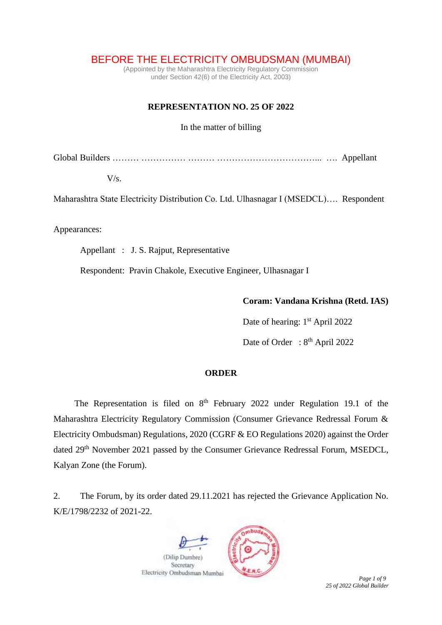BEFORE THE ELECTRICITY OMBUDSMAN (MUMBAI)

(Appointed by the Maharashtra Electricity Regulatory Commission under Section 42(6) of the Electricity Act, 2003)

# **REPRESENTATION NO. 25 OF 2022**

In the matter of billing

Global Builders ……… …………… ……… ……………………………... …. Appellant

 $V/s$ .

Maharashtra State Electricity Distribution Co. Ltd. Ulhasnagar I (MSEDCL)…. Respondent

Appearances:

Appellant : J. S. Rajput, Representative

Respondent: Pravin Chakole, Executive Engineer, Ulhasnagar I

### **Coram: Vandana Krishna (Retd. IAS)**

Date of hearing: 1<sup>st</sup> April 2022

Date of Order : 8<sup>th</sup> April 2022

# **ORDER**

The Representation is filed on  $8<sup>th</sup>$  February 2022 under Regulation 19.1 of the Maharashtra Electricity Regulatory Commission (Consumer Grievance Redressal Forum & Electricity Ombudsman) Regulations, 2020 (CGRF & EO Regulations 2020) against the Order dated 29<sup>th</sup> November 2021 passed by the Consumer Grievance Redressal Forum, MSEDCL, Kalyan Zone (the Forum).

2. The Forum, by its order dated 29.11.2021 has rejected the Grievance Application No. K/E/1798/2232 of 2021-22.

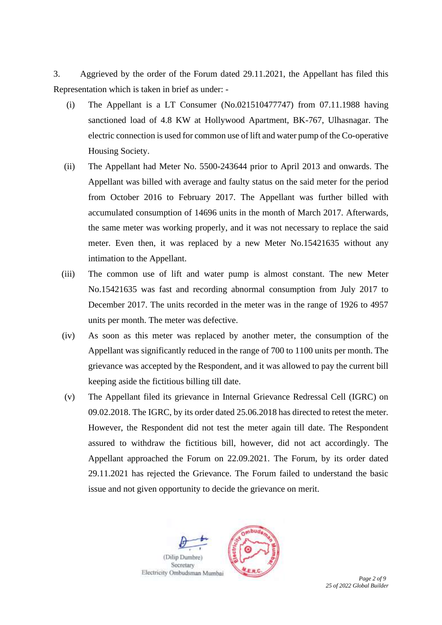3. Aggrieved by the order of the Forum dated 29.11.2021, the Appellant has filed this Representation which is taken in brief as under: -

- (i) The Appellant is a LT Consumer (No.021510477747) from 07.11.1988 having sanctioned load of 4.8 KW at Hollywood Apartment, BK-767, Ulhasnagar. The electric connection is used for common use of lift and water pump of the Co-operative Housing Society.
- (ii) The Appellant had Meter No. 5500-243644 prior to April 2013 and onwards. The Appellant was billed with average and faulty status on the said meter for the period from October 2016 to February 2017. The Appellant was further billed with accumulated consumption of 14696 units in the month of March 2017. Afterwards, the same meter was working properly, and it was not necessary to replace the said meter. Even then, it was replaced by a new Meter No.15421635 without any intimation to the Appellant.
- (iii) The common use of lift and water pump is almost constant. The new Meter No.15421635 was fast and recording abnormal consumption from July 2017 to December 2017. The units recorded in the meter was in the range of 1926 to 4957 units per month. The meter was defective.
- (iv) As soon as this meter was replaced by another meter, the consumption of the Appellant was significantly reduced in the range of 700 to 1100 units per month. The grievance was accepted by the Respondent, and it was allowed to pay the current bill keeping aside the fictitious billing till date.
- (v) The Appellant filed its grievance in Internal Grievance Redressal Cell (IGRC) on 09.02.2018. The IGRC, by its order dated 25.06.2018 has directed to retest the meter. However, the Respondent did not test the meter again till date. The Respondent assured to withdraw the fictitious bill, however, did not act accordingly. The Appellant approached the Forum on 22.09.2021. The Forum, by its order dated 29.11.2021 has rejected the Grievance. The Forum failed to understand the basic issue and not given opportunity to decide the grievance on merit.

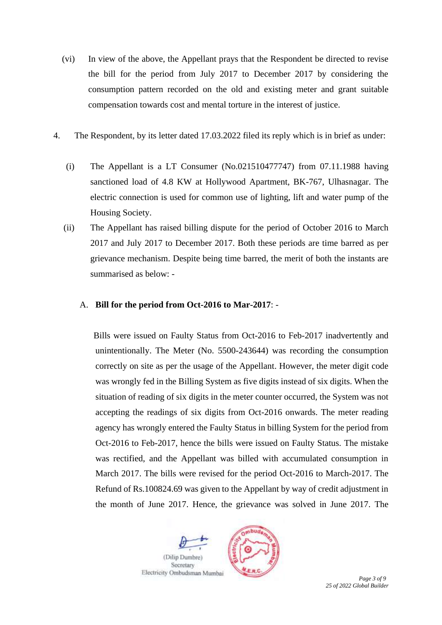- (vi) In view of the above, the Appellant prays that the Respondent be directed to revise the bill for the period from July 2017 to December 2017 by considering the consumption pattern recorded on the old and existing meter and grant suitable compensation towards cost and mental torture in the interest of justice.
- 4. The Respondent, by its letter dated 17.03.2022 filed its reply which is in brief as under:
	- (i) The Appellant is a LT Consumer (No.021510477747) from 07.11.1988 having sanctioned load of 4.8 KW at Hollywood Apartment, BK-767, Ulhasnagar. The electric connection is used for common use of lighting, lift and water pump of the Housing Society.
	- (ii) The Appellant has raised billing dispute for the period of October 2016 to March 2017 and July 2017 to December 2017. Both these periods are time barred as per grievance mechanism. Despite being time barred, the merit of both the instants are summarised as below: -

# A. **Bill for the period from Oct-2016 to Mar-2017**: -

Bills were issued on Faulty Status from Oct-2016 to Feb-2017 inadvertently and unintentionally. The Meter (No. 5500-243644) was recording the consumption correctly on site as per the usage of the Appellant. However, the meter digit code was wrongly fed in the Billing System as five digits instead of six digits. When the situation of reading of six digits in the meter counter occurred, the System was not accepting the readings of six digits from Oct-2016 onwards. The meter reading agency has wrongly entered the Faulty Status in billing System for the period from Oct-2016 to Feb-2017, hence the bills were issued on Faulty Status. The mistake was rectified, and the Appellant was billed with accumulated consumption in March 2017. The bills were revised for the period Oct-2016 to March-2017. The Refund of Rs.100824.69 was given to the Appellant by way of credit adjustment in the month of June 2017. Hence, the grievance was solved in June 2017. The

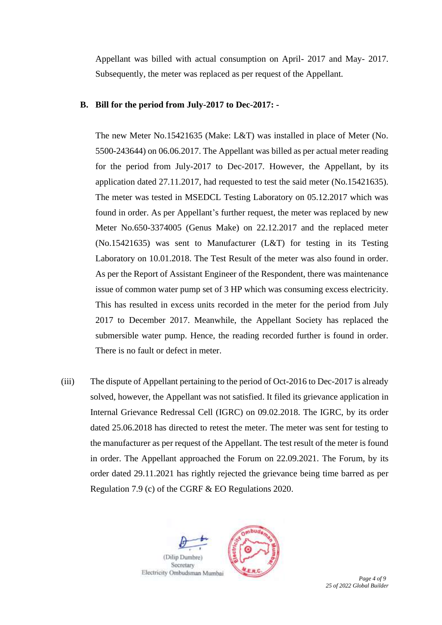Appellant was billed with actual consumption on April- 2017 and May- 2017. Subsequently, the meter was replaced as per request of the Appellant.

# **B. Bill for the period from July-2017 to Dec-2017: -**

The new Meter No.15421635 (Make: L&T) was installed in place of Meter (No. 5500-243644) on 06.06.2017. The Appellant was billed as per actual meter reading for the period from July-2017 to Dec-2017. However, the Appellant, by its application dated 27.11.2017, had requested to test the said meter (No.15421635). The meter was tested in MSEDCL Testing Laboratory on 05.12.2017 which was found in order. As per Appellant's further request, the meter was replaced by new Meter No.650-3374005 (Genus Make) on 22.12.2017 and the replaced meter (No.15421635) was sent to Manufacturer (L&T) for testing in its Testing Laboratory on 10.01.2018. The Test Result of the meter was also found in order. As per the Report of Assistant Engineer of the Respondent, there was maintenance issue of common water pump set of 3 HP which was consuming excess electricity. This has resulted in excess units recorded in the meter for the period from July 2017 to December 2017. Meanwhile, the Appellant Society has replaced the submersible water pump. Hence, the reading recorded further is found in order. There is no fault or defect in meter.

(iii) The dispute of Appellant pertaining to the period of Oct-2016 to Dec-2017 is already solved, however, the Appellant was not satisfied. It filed its grievance application in Internal Grievance Redressal Cell (IGRC) on 09.02.2018. The IGRC, by its order dated 25.06.2018 has directed to retest the meter. The meter was sent for testing to the manufacturer as per request of the Appellant. The test result of the meter is found in order. The Appellant approached the Forum on 22.09.2021. The Forum, by its order dated 29.11.2021 has rightly rejected the grievance being time barred as per Regulation 7.9 (c) of the CGRF & EO Regulations 2020.

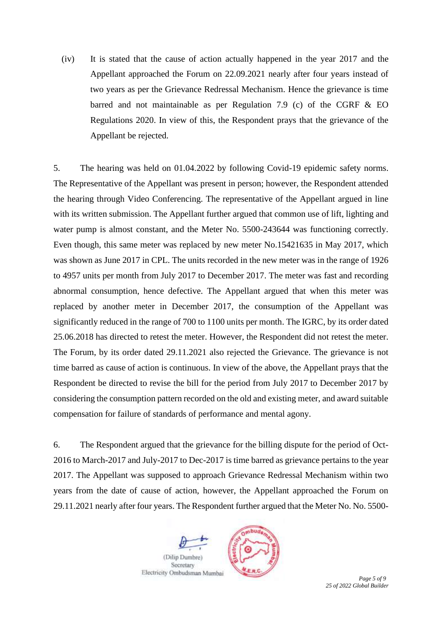(iv) It is stated that the cause of action actually happened in the year 2017 and the Appellant approached the Forum on 22.09.2021 nearly after four years instead of two years as per the Grievance Redressal Mechanism. Hence the grievance is time barred and not maintainable as per Regulation 7.9 (c) of the CGRF & EO Regulations 2020. In view of this, the Respondent prays that the grievance of the Appellant be rejected.

5. The hearing was held on 01.04.2022 by following Covid-19 epidemic safety norms. The Representative of the Appellant was present in person; however, the Respondent attended the hearing through Video Conferencing. The representative of the Appellant argued in line with its written submission. The Appellant further argued that common use of lift, lighting and water pump is almost constant, and the Meter No. 5500-243644 was functioning correctly. Even though, this same meter was replaced by new meter No.15421635 in May 2017, which was shown as June 2017 in CPL. The units recorded in the new meter was in the range of 1926 to 4957 units per month from July 2017 to December 2017. The meter was fast and recording abnormal consumption, hence defective. The Appellant argued that when this meter was replaced by another meter in December 2017, the consumption of the Appellant was significantly reduced in the range of 700 to 1100 units per month. The IGRC, by its order dated 25.06.2018 has directed to retest the meter. However, the Respondent did not retest the meter. The Forum, by its order dated 29.11.2021 also rejected the Grievance. The grievance is not time barred as cause of action is continuous. In view of the above, the Appellant prays that the Respondent be directed to revise the bill for the period from July 2017 to December 2017 by considering the consumption pattern recorded on the old and existing meter, and award suitable compensation for failure of standards of performance and mental agony.

6. The Respondent argued that the grievance for the billing dispute for the period of Oct-2016 to March-2017 and July-2017 to Dec-2017 is time barred as grievance pertains to the year 2017. The Appellant was supposed to approach Grievance Redressal Mechanism within two years from the date of cause of action, however, the Appellant approached the Forum on 29.11.2021 nearly after four years. The Respondent further argued that the Meter No. No. 5500-

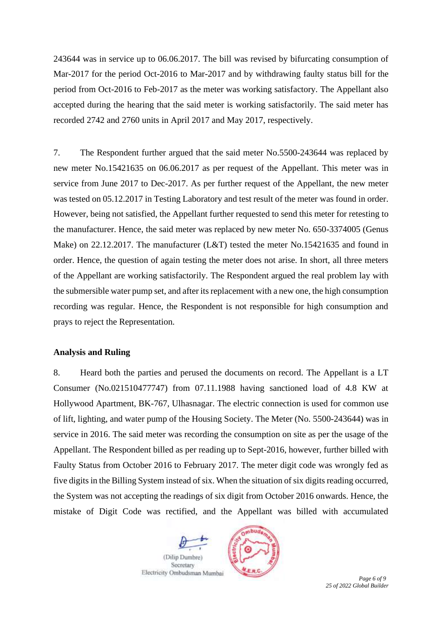243644 was in service up to 06.06.2017. The bill was revised by bifurcating consumption of Mar-2017 for the period Oct-2016 to Mar-2017 and by withdrawing faulty status bill for the period from Oct-2016 to Feb-2017 as the meter was working satisfactory. The Appellant also accepted during the hearing that the said meter is working satisfactorily. The said meter has recorded 2742 and 2760 units in April 2017 and May 2017, respectively.

7. The Respondent further argued that the said meter No.5500-243644 was replaced by new meter No.15421635 on 06.06.2017 as per request of the Appellant. This meter was in service from June 2017 to Dec-2017. As per further request of the Appellant, the new meter was tested on 05.12.2017 in Testing Laboratory and test result of the meter was found in order. However, being not satisfied, the Appellant further requested to send this meter for retesting to the manufacturer. Hence, the said meter was replaced by new meter No. 650-3374005 (Genus Make) on 22.12.2017. The manufacturer (L&T) tested the meter No.15421635 and found in order. Hence, the question of again testing the meter does not arise. In short, all three meters of the Appellant are working satisfactorily. The Respondent argued the real problem lay with the submersible water pump set, and after its replacement with a new one, the high consumption recording was regular. Hence, the Respondent is not responsible for high consumption and prays to reject the Representation.

#### **Analysis and Ruling**

8. Heard both the parties and perused the documents on record. The Appellant is a LT Consumer (No.021510477747) from 07.11.1988 having sanctioned load of 4.8 KW at Hollywood Apartment, BK-767, Ulhasnagar. The electric connection is used for common use of lift, lighting, and water pump of the Housing Society. The Meter (No. 5500-243644) was in service in 2016. The said meter was recording the consumption on site as per the usage of the Appellant. The Respondent billed as per reading up to Sept-2016, however, further billed with Faulty Status from October 2016 to February 2017. The meter digit code was wrongly fed as five digits in the Billing System instead of six. When the situation of six digits reading occurred, the System was not accepting the readings of six digit from October 2016 onwards. Hence, the mistake of Digit Code was rectified, and the Appellant was billed with accumulated

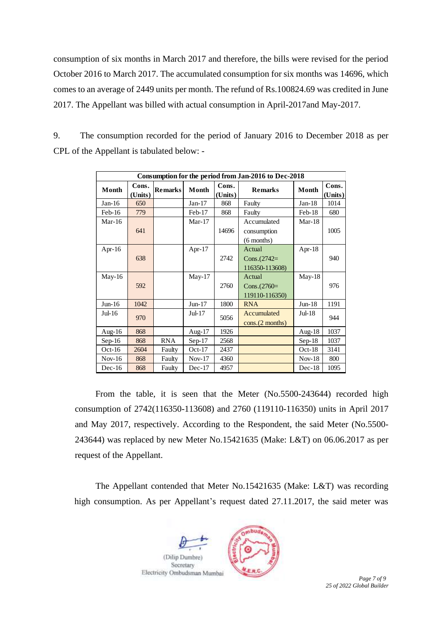consumption of six months in March 2017 and therefore, the bills were revised for the period October 2016 to March 2017. The accumulated consumption for six months was 14696, which comes to an average of 2449 units per month. The refund of Rs.100824.69 was credited in June 2017. The Appellant was billed with actual consumption in April-2017and May-2017.

| Consumption for the period from Jan-2016 to Dec-2018 |                  |                |          |                  |                                            |           |                  |
|------------------------------------------------------|------------------|----------------|----------|------------------|--------------------------------------------|-----------|------------------|
| Month                                                | Cons.<br>(Units) | <b>Remarks</b> | Month    | Cons.<br>(Units) | <b>Remarks</b>                             | Month     | Cons.<br>(Units) |
| $Jan-16$                                             | 650              |                | $Jan-17$ | 868              | Faulty                                     | $Jan-18$  | 1014             |
| $Feb-16$                                             | 779              |                | Feb-17   | 868              | Faulty                                     | Feb-18    | 680              |
| $Mar-16$                                             | 641              |                | $Mar-17$ | 14696            | Accumulated<br>consumption<br>$(6$ months) | $Mar-18$  | 1005             |
| Apr- $16$                                            | 638              |                | Apr-17   | 2742             | Actual<br>Cons. $(2742=$<br>116350-113608) | Apr- $18$ | 940              |
| May-16                                               | 592              |                | $May-17$ | 2760             | Actual<br>Cons. $(2760=$<br>119110-116350) | $May-18$  | 976              |
| $Jun-16$                                             | 1042             |                | $Jun-17$ | 1800             | <b>RNA</b>                                 | $Jun-18$  | 1191             |
| $Jul-16$                                             | 970              |                | $Jul-17$ | 5056             | Accumulated<br>cons.(2 months)             | Jul-18    | 944              |
| Aug-16                                               | 868              |                | Aug-17   | 1926             |                                            | Aug-18    | 1037             |
| $Sep-16$                                             | 868              | <b>RNA</b>     | $Sep-17$ | 2568             |                                            | $Sep-18$  | 1037             |
| $Oct-16$                                             | 2604             | Faulty         | $Oct-17$ | 2437             |                                            | $Oct-18$  | 3141             |
| $Nov-16$                                             | 868              | Faulty         | $Nov-17$ | 4360             |                                            | $Nov-18$  | 800              |
| $Dec-16$                                             | 868              | Faulty         | $Dec-17$ | 4957             |                                            | $Dec-18$  | 1095             |

9. The consumption recorded for the period of January 2016 to December 2018 as per CPL of the Appellant is tabulated below: -

From the table, it is seen that the Meter (No.5500-243644) recorded high consumption of 2742(116350-113608) and 2760 (119110-116350) units in April 2017 and May 2017, respectively. According to the Respondent, the said Meter (No.5500- 243644) was replaced by new Meter No.15421635 (Make: L&T) on 06.06.2017 as per request of the Appellant.

The Appellant contended that Meter No.15421635 (Make: L&T) was recording high consumption. As per Appellant's request dated 27.11.2017, the said meter was

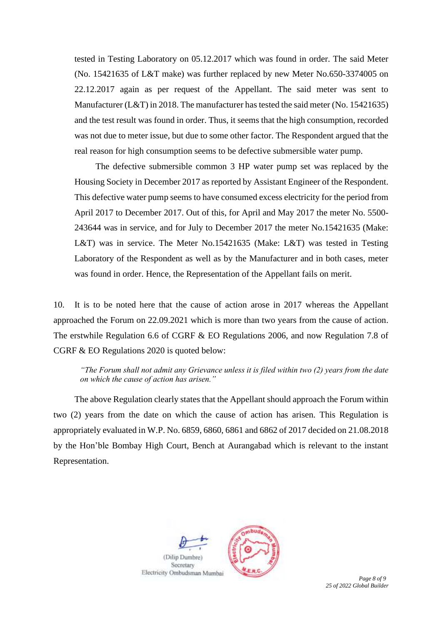tested in Testing Laboratory on 05.12.2017 which was found in order. The said Meter (No. 15421635 of L&T make) was further replaced by new Meter No.650-3374005 on 22.12.2017 again as per request of the Appellant. The said meter was sent to Manufacturer (L&T) in 2018. The manufacturer has tested the said meter (No. 15421635) and the test result was found in order. Thus, it seems that the high consumption, recorded was not due to meter issue, but due to some other factor. The Respondent argued that the real reason for high consumption seems to be defective submersible water pump.

The defective submersible common 3 HP water pump set was replaced by the Housing Society in December 2017 as reported by Assistant Engineer of the Respondent. This defective water pump seems to have consumed excess electricity for the period from April 2017 to December 2017. Out of this, for April and May 2017 the meter No. 5500- 243644 was in service, and for July to December 2017 the meter No.15421635 (Make: L&T) was in service. The Meter No.15421635 (Make: L&T) was tested in Testing Laboratory of the Respondent as well as by the Manufacturer and in both cases, meter was found in order. Hence, the Representation of the Appellant fails on merit.

10. It is to be noted here that the cause of action arose in 2017 whereas the Appellant approached the Forum on 22.09.2021 which is more than two years from the cause of action. The erstwhile Regulation 6.6 of CGRF & EO Regulations 2006, and now Regulation 7.8 of CGRF & EO Regulations 2020 is quoted below:

*"The Forum shall not admit any Grievance unless it is filed within two (2) years from the date on which the cause of action has arisen."*

The above Regulation clearly states that the Appellant should approach the Forum within two (2) years from the date on which the cause of action has arisen. This Regulation is appropriately evaluated in W.P. No. 6859, 6860, 6861 and 6862 of 2017 decided on 21.08.2018 by the Hon'ble Bombay High Court, Bench at Aurangabad which is relevant to the instant Representation.